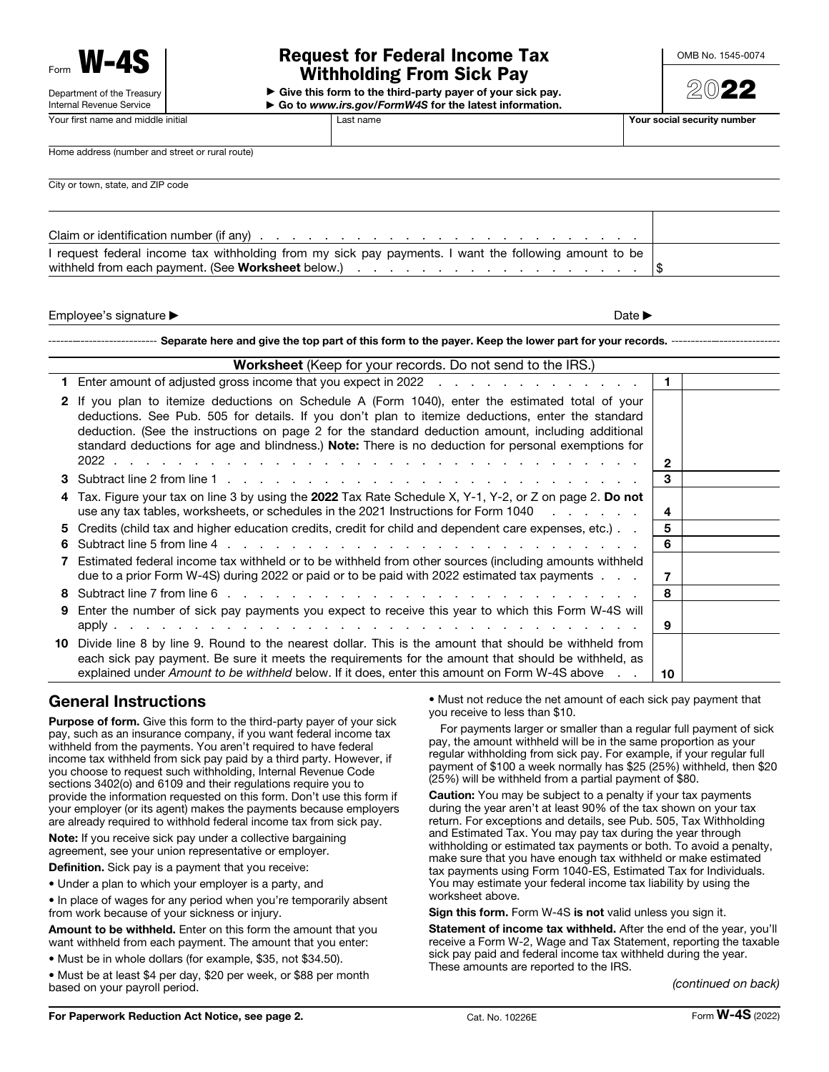Form W-4S

Department of the Treasury Internal Revenue Service Your first name and middle initial Last name Your social security number

# Request for Federal Income Tax Withholding From Sick Pay

 $\triangleright$  Give this form to the third-party payer of your sick pay.

▶ Go to *www.irs.gov/FormW4S* for the latest information.

2022

Home address (number and street or rural route)

City or town, state, and ZIP code

Claim or identification number (if any) I request federal income tax withholding from my sick pay payments. I want the following amount to be withheld from each payment. (See Worksheet below.)  $\ldots$  . . . . . . . . . . . . . . . . . . \$

Employee's signature ▶ Date ▶

Separate here and give the top part of this form to the payer. Keep the lower part for your records. -

|    | Worksheet (Keep for your records. Do not send to the IRS.)                                                                                                                                                                                                                                                                                                                                                                |                  |  |
|----|---------------------------------------------------------------------------------------------------------------------------------------------------------------------------------------------------------------------------------------------------------------------------------------------------------------------------------------------------------------------------------------------------------------------------|------------------|--|
| 1. |                                                                                                                                                                                                                                                                                                                                                                                                                           | $\blacksquare$ 1 |  |
|    | 2 If you plan to itemize deductions on Schedule A (Form 1040), enter the estimated total of your<br>deductions. See Pub. 505 for details. If you don't plan to itemize deductions, enter the standard<br>deduction. (See the instructions on page 2 for the standard deduction amount, including additional<br>standard deductions for age and blindness.) <b>Note:</b> There is no deduction for personal exemptions for | 2                |  |
|    |                                                                                                                                                                                                                                                                                                                                                                                                                           | 3                |  |
|    | Tax. Figure your tax on line 3 by using the 2022 Tax Rate Schedule X, Y-1, Y-2, or Z on page 2. Do not<br>use any tax tables, worksheets, or schedules in the 2021 Instructions for Form 1040                                                                                                                                                                                                                             | 4                |  |
|    | 5 Credits (child tax and higher education credits, credit for child and dependent care expenses, etc.).                                                                                                                                                                                                                                                                                                                   | 5                |  |
| 6. | Subtract line 5 from line 4 response to the contract the state of the state of the state of the state of the state of the state of the state of the state of the state of the state of the state of the state of the state of                                                                                                                                                                                             | 6                |  |
|    | Estimated federal income tax withheld or to be withheld from other sources (including amounts withheld<br>due to a prior Form W-4S) during 2022 or paid or to be paid with 2022 estimated tax payments                                                                                                                                                                                                                    | 7                |  |
|    |                                                                                                                                                                                                                                                                                                                                                                                                                           | 8                |  |
| 9. | Enter the number of sick pay payments you expect to receive this year to which this Form W-4S will                                                                                                                                                                                                                                                                                                                        | 9                |  |
|    | 10 Divide line 8 by line 9. Round to the nearest dollar. This is the amount that should be withheld from<br>each sick pay payment. Be sure it meets the requirements for the amount that should be withheld, as<br>explained under Amount to be withheld below. If it does, enter this amount on Form W-4S above                                                                                                          | 10               |  |

## General Instructions

Purpose of form. Give this form to the third-party payer of your sick pay, such as an insurance company, if you want federal income tax withheld from the payments. You aren't required to have federal income tax withheld from sick pay paid by a third party. However, if you choose to request such withholding, Internal Revenue Code sections 3402(o) and 6109 and their regulations require you to provide the information requested on this form. Don't use this form if your employer (or its agent) makes the payments because employers are already required to withhold federal income tax from sick pay.

Note: If you receive sick pay under a collective bargaining agreement, see your union representative or employer.

Definition. Sick pay is a payment that you receive:

• Under a plan to which your employer is a party, and

• In place of wages for any period when you're temporarily absent from work because of your sickness or injury.

Amount to be withheld. Enter on this form the amount that you want withheld from each payment. The amount that you enter:

• Must be in whole dollars (for example, \$35, not \$34.50).

• Must be at least \$4 per day, \$20 per week, or \$88 per month based on your payroll period.

• Must not reduce the net amount of each sick pay payment that you receive to less than \$10.

For payments larger or smaller than a regular full payment of sick pay, the amount withheld will be in the same proportion as your regular withholding from sick pay. For example, if your regular full payment of \$100 a week normally has \$25 (25%) withheld, then \$20 (25%) will be withheld from a partial payment of \$80.

Caution: You may be subject to a penalty if your tax payments during the year aren't at least 90% of the tax shown on your tax return. For exceptions and details, see Pub. 505, Tax Withholding and Estimated Tax. You may pay tax during the year through withholding or estimated tax payments or both. To avoid a penalty, make sure that you have enough tax withheld or make estimated tax payments using Form 1040-ES, Estimated Tax for Individuals. You may estimate your federal income tax liability by using the worksheet above.

Sign this form. Form W-4S is not valid unless you sign it.

Statement of income tax withheld. After the end of the year, you'll receive a Form W-2, Wage and Tax Statement, reporting the taxable sick pay paid and federal income tax withheld during the year. These amounts are reported to the IRS.

*(continued on back)*